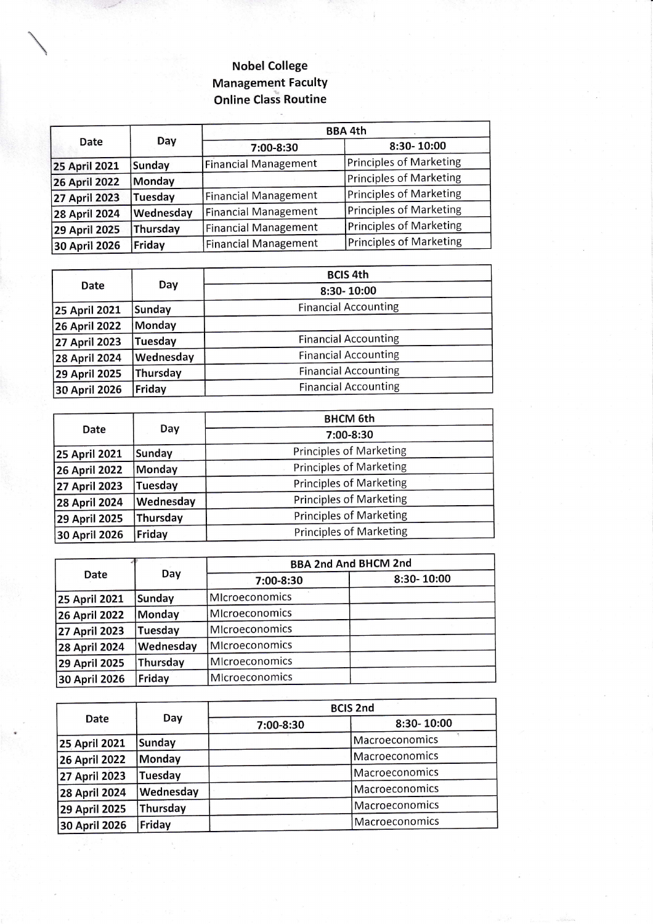## Nobel College Management FacultY Online Class Routine

| Date                 | Day       | <b>BBA 4th</b>              |                                |
|----------------------|-----------|-----------------------------|--------------------------------|
|                      |           | 7:00-8:30                   | 8:30-10:00                     |
| <b>25 April 2021</b> | Sunday    | <b>Financial Management</b> | <b>Principles of Marketing</b> |
| <b>26 April 2022</b> | Monday    |                             | Principles of Marketing        |
| <b>27 April 2023</b> | Tuesday   | <b>Financial Management</b> | Principles of Marketing        |
| <b>28 April 2024</b> | Wednesday | <b>Financial Management</b> | Principles of Marketing        |
| <b>29 April 2025</b> | Thursday  | <b>Financial Management</b> | Principles of Marketing        |
| 30 April 2026        | Friday    | <b>Financial Management</b> | Principles of Marketing        |

|                      |           | <b>BCIS 4th</b>             |
|----------------------|-----------|-----------------------------|
| Date                 | Day       | 8:30-10:00                  |
| <b>25 April 2021</b> | Sunday    | <b>Financial Accounting</b> |
| 26 April 2022        | Monday    |                             |
| 27 April 2023        | Tuesday   | <b>Financial Accounting</b> |
| 28 April 2024        | Wednesday | <b>Financial Accounting</b> |
| <b>29 April 2025</b> | Thursday  | <b>Financial Accounting</b> |
| 30 April 2026        | Friday    | <b>Financial Accounting</b> |

|                      |           | <b>BHCM 6th</b>                |  |
|----------------------|-----------|--------------------------------|--|
| Date                 | Day       | 7:00-8:30                      |  |
| 25 April 2021        | Sunday    | <b>Principles of Marketing</b> |  |
| <b>26 April 2022</b> | Monday    | <b>Principles of Marketing</b> |  |
| 27 April 2023        | Tuesday   | <b>Principles of Marketing</b> |  |
| <b>28 April 2024</b> | Wednesday | <b>Principles of Marketing</b> |  |
| 29 April 2025        | Thursday  | <b>Principles of Marketing</b> |  |
| 30 April 2026        | Friday    | <b>Principles of Marketing</b> |  |

|                      |           | <b>BBA 2nd And BHCM 2nd</b> |            |
|----------------------|-----------|-----------------------------|------------|
| Date                 | Day       | 7:00-8:30                   | 8:30-10:00 |
| <b>25 April 2021</b> | Sunday    | MIcroeconomics              |            |
| <b>26 April 2022</b> | Monday    | MIcroeconomics              |            |
| 27 April 2023        | Tuesday   | Microeconomics              |            |
| 28 April 2024        | Wednesday | MIcroeconomics              |            |
| 29 April 2025        | Thursday  | MIcroeconomics              |            |
| 30 April 2026        | Friday    | Microeconomics              |            |

| Date                 |           | <b>BCIS 2nd</b> |                |
|----------------------|-----------|-----------------|----------------|
|                      | Day       | 7:00-8:30       | 8:30-10:00     |
| <b>25 April 2021</b> | Sunday    |                 | Macroeconomics |
| 26 April 2022        | Monday    |                 | Macroeconomics |
| 27 April 2023        | Tuesday   |                 | Macroeconomics |
| 28 April 2024        | Wednesday |                 | Macroeconomics |
| 29 April 2025        | Thursday  |                 | Macroeconomics |
| 30 April 2026        | Friday    |                 | Macroeconomics |